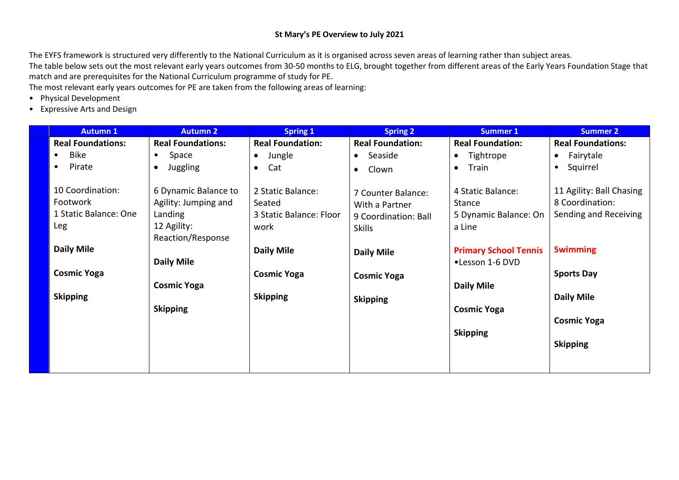# **St Mary's PE Overview to July 2021**

The EYFS framework is structured very differently to the National Curriculum as it is organised across seven areas of learning rather than subject areas. The table below sets out the most relevant early years outcomes from 30-50 months to ELG, brought together from different areas of the Early Years Foundation Stage that match and are prerequisites for the National Curriculum programme of study for PE.

The most relevant early years outcomes for PE are taken from the following areas of learning:

- Physical Development
- Expressive Arts and Design

| <b>Autumn 1</b>                                              | <b>Autumn 2</b>                                                                             | <b>Spring 1</b>                                                | <b>Spring 2</b>                                                               | <b>Summer 1</b>                                                       | <b>Summer 2</b>                                                      |
|--------------------------------------------------------------|---------------------------------------------------------------------------------------------|----------------------------------------------------------------|-------------------------------------------------------------------------------|-----------------------------------------------------------------------|----------------------------------------------------------------------|
| <b>Real Foundations:</b>                                     | <b>Real Foundations:</b>                                                                    | <b>Real Foundation:</b>                                        | <b>Real Foundation:</b>                                                       | <b>Real Foundation:</b>                                               | <b>Real Foundations:</b>                                             |
| <b>Bike</b><br>$\bullet$                                     | Space<br>$\bullet$                                                                          | Jungle<br>$\bullet$                                            | Seaside<br>$\bullet$                                                          | Tightrope<br>$\bullet$                                                | Fairytale<br>$\bullet$                                               |
| Pirate                                                       | <b>Juggling</b><br>$\bullet$                                                                | Cat<br>$\bullet$                                               | Clown<br>$\bullet$                                                            | Train<br>$\bullet$                                                    | Squirrel<br>$\bullet$                                                |
| 10 Coordination:<br>Footwork<br>1 Static Balance: One<br>Leg | 6 Dynamic Balance to<br>Agility: Jumping and<br>Landing<br>12 Agility:<br>Reaction/Response | 2 Static Balance:<br>Seated<br>3 Static Balance: Floor<br>work | 7 Counter Balance:<br>With a Partner<br>9 Coordination: Ball<br><b>Skills</b> | 4 Static Balance:<br><b>Stance</b><br>5 Dynamic Balance: On<br>a Line | 11 Agility: Ball Chasing<br>8 Coordination:<br>Sending and Receiving |
| <b>Daily Mile</b>                                            | Daily Mile                                                                                  | <b>Daily Mile</b>                                              | <b>Daily Mile</b>                                                             | <b>Primary School Tennis</b><br>•Lesson 1-6 DVD                       | <b>Swimming</b>                                                      |
| <b>Cosmic Yoga</b>                                           | <b>Cosmic Yoga</b>                                                                          | <b>Cosmic Yoga</b>                                             | <b>Cosmic Yoga</b>                                                            | <b>Daily Mile</b>                                                     | <b>Sports Day</b>                                                    |
| <b>Skipping</b>                                              | <b>Skipping</b>                                                                             | <b>Skipping</b>                                                | <b>Skipping</b>                                                               | <b>Cosmic Yoga</b>                                                    | <b>Daily Mile</b>                                                    |
|                                                              |                                                                                             |                                                                |                                                                               | <b>Skipping</b>                                                       | <b>Cosmic Yoga</b>                                                   |
|                                                              |                                                                                             |                                                                |                                                                               |                                                                       | <b>Skipping</b>                                                      |